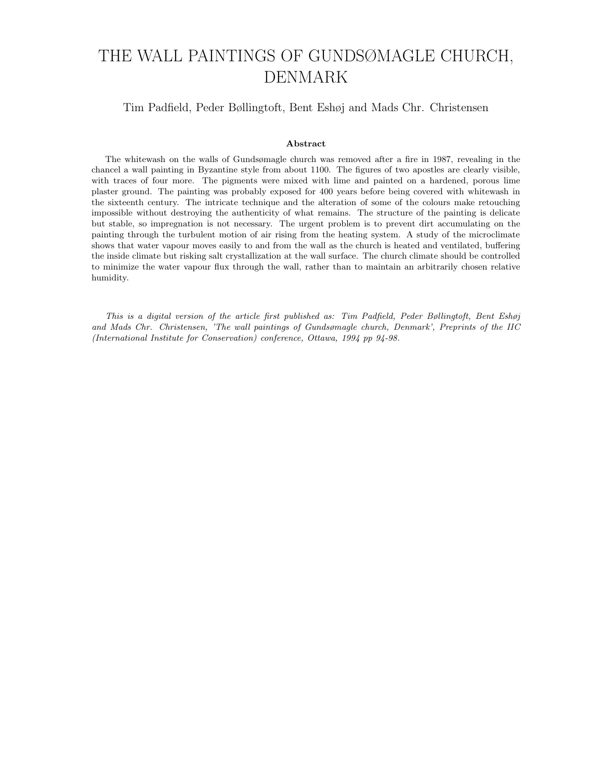# THE WALL PAINTINGS OF GUNDSØMAGLE CHURCH, DENMARK

# Tim Padfield, Peder Bøllingtoft, Bent Eshøj and Mads Chr. Christensen

# Abstract

The whitewash on the walls of Gundsømagle church was removed after a fire in 1987, revealing in the chancel a wall painting in Byzantine style from about 1100. The figures of two apostles are clearly visible, with traces of four more. The pigments were mixed with lime and painted on a hardened, porous lime plaster ground. The painting was probably exposed for 400 years before being covered with whitewash in the sixteenth century. The intricate technique and the alteration of some of the colours make retouching impossible without destroying the authenticity of what remains. The structure of the painting is delicate but stable, so impregnation is not necessary. The urgent problem is to prevent dirt accumulating on the painting through the turbulent motion of air rising from the heating system. A study of the microclimate shows that water vapour moves easily to and from the wall as the church is heated and ventilated, buffering the inside climate but risking salt crystallization at the wall surface. The church climate should be controlled to minimize the water vapour flux through the wall, rather than to maintain an arbitrarily chosen relative humidity.

This is a digital version of the article first published as: Tim Padfield, Peder Bøllingtoft, Bent Eshøj and Mads Chr. Christensen, 'The wall paintings of Gundsømagle church, Denmark', Preprints of the IIC (International Institute for Conservation) conference, Ottawa, 1994 pp 94-98.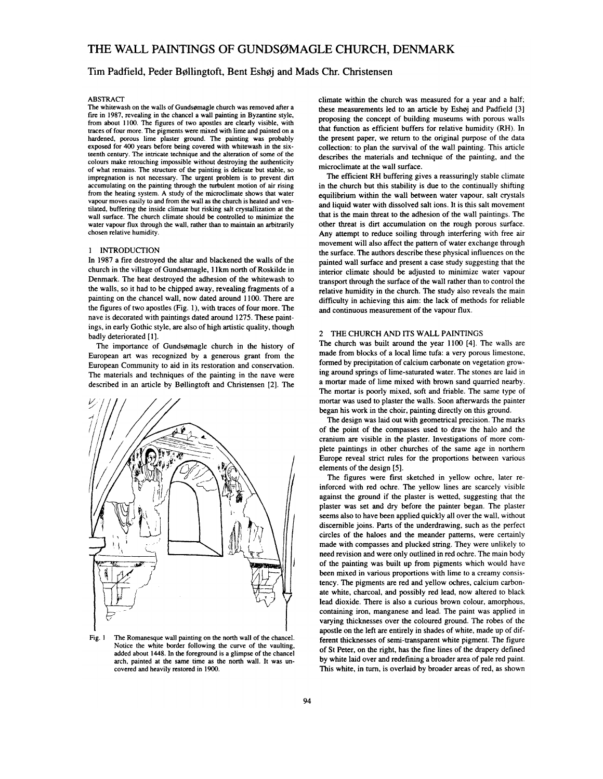# Tim Padfield, Peder Bøllingtoft, Bent Eshøj and Mads Chr. Christensen

#### **ABSTRACT**

The whitewash on the walls of Gundsømagle church was removed after a fire in 1987, revealing in the chancel a wall painting in Byzantine style, from about 1100. The figures of two apostles are clearly visible, with traces of four more. The pigments were mixed with lime and painted on a hardened, porous lime plaster ground. The painting was probably exposed for 400 years before being covered with whitewash in the sixteenth century. The intricate technique and the alteration of some of the colours make retouching impossible without destroying the authenticity of what remains. The structure of the painting is delicate but stable, so impregnation is not necessary. The urgent problem is to prevent dirt accumulating on the painting through the turbulent motion of air rising from the heating system. A study of the microclimate shows that water vapour moves easily to and from the wall as the church is heated and ventilated, buffering the inside climate but risking salt crystallization at the wall surface. The church climate should be controlled to minimize the water vapour flux through the wall, rather than to maintain an arbitrarily chosen relative humidity.

#### 1 INTRODUCTION

In 1987 a fire destroyed the altar and blackened the walls of the church in the village of Gundsømagle, 11km north of Roskilde in Denmark. The heat destroyed the adhesion of the whitewash to the walls, so it had to be chipped away, revealing fragments of a painting on the chancel wall, now dated around 1100. There are the figures of two apostles (Fig. 1), with traces of four more. The nave is decorated with paintings dated around 1275. These paintings, in early Gothic style, are also of high artistic quality, though badly deteriorated [1].

The importance of Gundsømagle church in the history of European art was recognized by a generous grant from the European Community to aid in its restoration and conservation. The materials and techniques of the painting in the nave were described in an article by Bøllingtoft and Christensen [2]. The



Fig. 1 The Romanesque wall painting on the north wall of the chancel. Notice the white border following the curve of the vaulting, added about 1448. In the foreground is a glimpse of the chancel arch, painted at the same time as the north wall. It was uncovered and heavily restored in 1900.

climate within the church was measured for a year and a half; these measurements led to an article by Eshøj and Padfield [3] proposing the concept of building museums with porous walls that function as efficient buffers for relative humidity (RH). In the present paper, we return to the original purpose of the data collection: to plan the survival of the wall painting. This article describes the materials and technique of the painting, and the microclimate at the wall surface.

The efficient RH buffering gives a reassuringly stable climate in the church but this stability is due to the continually shifting equilibrium within the wall between water vapour, salt crystals and liquid water with dissolved salt ions. It is this salt movement that is the main threat to the adhesion of the wall paintings. The other threat is dirt accumulation on the rough porous surface. Any attempt to reduce soiling through interfering with free air movement will also affect the pattern of water exchange through the surface. The authors describe these physical influences on the painted wall surface and present a case study suggesting that the interior climate should be adjusted to minimize water vapour transport through the surface of the wall rather than to control the relative humidity in the church. The study also reveals the main difficulty in achieving this aim: the lack of methods for reliable and continuous measurement of the vapour flux.

#### 2 THE CHURCH AND ITS WALL PAINTINGS

The church was built around the year 1100 [4]. The walls are made from blocks of a local lime tufa: a very porous limestone, formed by precipitation of calcium carbonate on vegetation growing around springs of lime-saturated water. The stones are laid in a mortar made of lime mixed with brown sand quarried nearby. The mortar is poorly mixed, soft and friable. The same type of mortar was used to plaster the walls. Soon afterwards the painter began his work in the choir, painting directly on this ground.

The design was laid out with geometrical precision. The marks of the point of the compasses used to draw the halo and the cranium are visible in the plaster. Investigations of more complete paintings in other churches of the same age in northern Europe reveal strict rules for the proportions between various elements of the design [5].

The figures were first sketched in yellow ochre, later reinforced with red ochre. The yellow lines are scarcely visible against the ground if the plaster is wetted, suggesting that the plaster was set and dry before the painter began. The plaster seems also to have been applied quickly all over the wall, without discernible joins. Parts of the underdrawing, such as the perfect circles of the haloes and the meander patterns, were certainly made with compasses and plucked string. They were unlikely to need revision and were only outlined in red ochre. The main body of the painting was built up from pigments which would have been mixed in various proportions with lime to a creamy consistency. The pigments are red and yellow ochres, calcium carbonate white, charcoal, and possibly red lead, now altered to black lead dioxide. There is also a curious brown colour, amorphous, containing iron, manganese and lead. The paint was applied in varying thicknesses over the coloured ground. The robes of the apostle on the left are entirely in shades of white, made up of different thicknesses of semi-transparent white pigment. The figure of St Peter, on the right, has the fine lines of the drapery defined by white laid over and redefining a broader area of pale red paint. This white, in turn, is overlaid by broader areas of red, as shown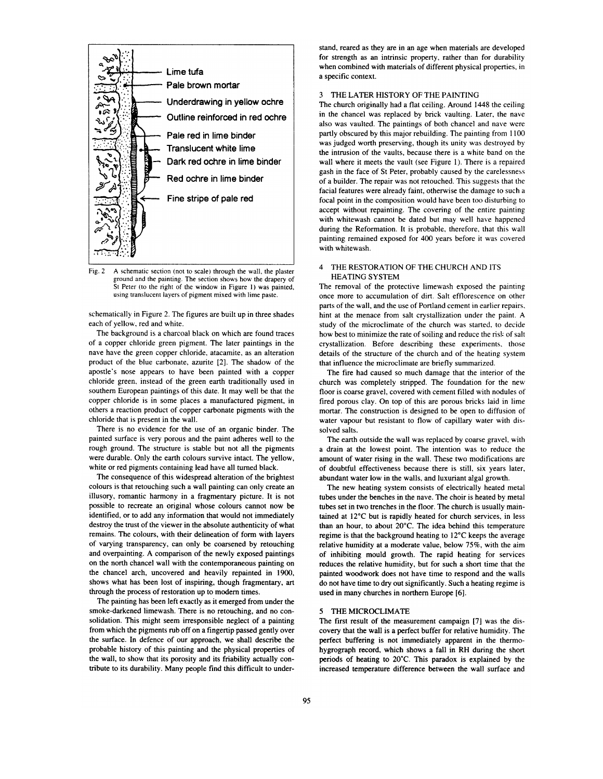

Fig. 2 A schematic section (not to scale) through the wall, the plaster ground and the painting. The section shows how the drapery of St Peter (to the right of the window in Figure 1) was painted, using translucent layers of pigment mixed with lime paste.

schematically in Figure 2. The figures are built up in three shades each of yellow, red and white.

The background is a charcoal black on which are found traces of a copper chloride green pigment. The later paintings in the nave have the green copper chloride, atacamite, as an alteration product of the blue carbonate, azurite [2]. The shadow of the apostle's nose appears to have been painted with a copper chloride green, instead of the green earth traditionally used in southern European paintings of this date. It may well be that the copper chloride is in some places a manufactured pigment, in others a reaction product of copper carbonate pigments with the chloride that is present in the wall.

There is no evidence for the use of an organic binder. The painted surface is very porous and the paint adheres well to the rough ground. The structure is stable but not all the pigments were durable. Only the earth colours survive intact. The vellow, white or red pigments containing lead have all turned black.

The consequence of this widespread alteration of the brightest colours is that retouching such a wall painting can only create an illusory, romantic harmony in a fragmentary picture. It is not possible to recreate an original whose colours cannot now be identified, or to add any information that would not immediately destroy the trust of the viewer in the absolute authenticity of what remains. The colours, with their delineation of form with layers of varying transparency, can only be coarsened by retouching and overpainting. A comparison of the newly exposed paintings on the north chancel wall with the contemporaneous painting on the chancel arch, uncovered and heavily repainted in 1900, shows what has been lost of inspiring, though fragmentary, art through the process of restoration up to modern times.

The painting has been left exactly as it emerged from under the smoke-darkened limewash. There is no retouching, and no consolidation. This might seem irresponsible neglect of a painting from which the pigments rub off on a fingertip passed gently over the surface. In defence of our approach, we shall describe the probable history of this painting and the physical properties of the wall, to show that its porosity and its friability actually contribute to its durability. Many people find this difficult to understand, reared as they are in an age when materials are developed for strength as an intrinsic property, rather than for durability when combined with materials of different physical properties, in a specific context.

# 3 THE LATER HISTORY OF THE PAINTING

The church originally had a flat ceiling. Around 1448 the ceiling in the chancel was replaced by brick vaulting. Later, the nave also was vaulted. The paintings of both chancel and nave were partly obscured by this major rebuilding. The painting from 1100 was judged worth preserving, though its unity was destroyed by the intrusion of the vaults, because there is a white band on the wall where it meets the vault (see Figure 1). There is a repaired gash in the face of St Peter, probably caused by the carelessness of a builder. The repair was not retouched. This suggests that the facial features were already faint, otherwise the damage to such a focal point in the composition would have been too disturbing to accept without repainting. The covering of the entire painting with whitewash cannot be dated but may well have happened during the Reformation. It is probable, therefore, that this wall painting remained exposed for 400 years before it was covered with whitewash

### 4 THE RESTORATION OF THE CHURCH AND ITS **HEATING SYSTEM**

The removal of the protective limewash exposed the painting once more to accumulation of dirt. Salt efflorescence on other parts of the wall, and the use of Portland cement in earlier repairs, hint at the menace from salt crystallization under the paint. A study of the microclimate of the church was started, to decide how best to minimize the rate of soiling and reduce the risk of salt crystallization. Before describing these experiments, those details of the structure of the church and of the heating system that influence the microclimate are briefly summarized.

The fire had caused so much damage that the interior of the church was completely stripped. The foundation for the new floor is coarse gravel, covered with cement filled with nodules of fired porous clay. On top of this are porous bricks laid in lime mortar. The construction is designed to be open to diffusion of water vapour but resistant to flow of capillary water with dissolved salts.

The earth outside the wall was replaced by coarse gravel, with a drain at the lowest point. The intention was to reduce the amount of water rising in the wall. These two modifications are of doubtful effectiveness because there is still, six vears later, abundant water low in the walls, and luxuriant algal growth.

The new heating system consists of electrically heated metal tubes under the benches in the nave. The choir is heated by metal tubes set in two trenches in the floor. The church is usually maintained at 12°C but is rapidly heated for church services, in less than an hour, to about 20°C. The idea behind this temperature regime is that the background heating to 12°C keeps the average relative humidity at a moderate value, below 75%, with the aim of inhibiting mould growth. The rapid heating for services reduces the relative humidity, but for such a short time that the painted woodwork does not have time to respond and the walls do not have time to dry out significantly. Such a heating regime is used in many churches in northern Europe [6].

## 5 THE MICROCLIMATE

The first result of the measurement campaign [7] was the discovery that the wall is a perfect buffer for relative humidity. The perfect buffering is not immediately apparent in the thermohygrograph record, which shows a fall in RH during the short periods of heating to 20°C. This paradox is explained by the increased temperature difference between the wall surface and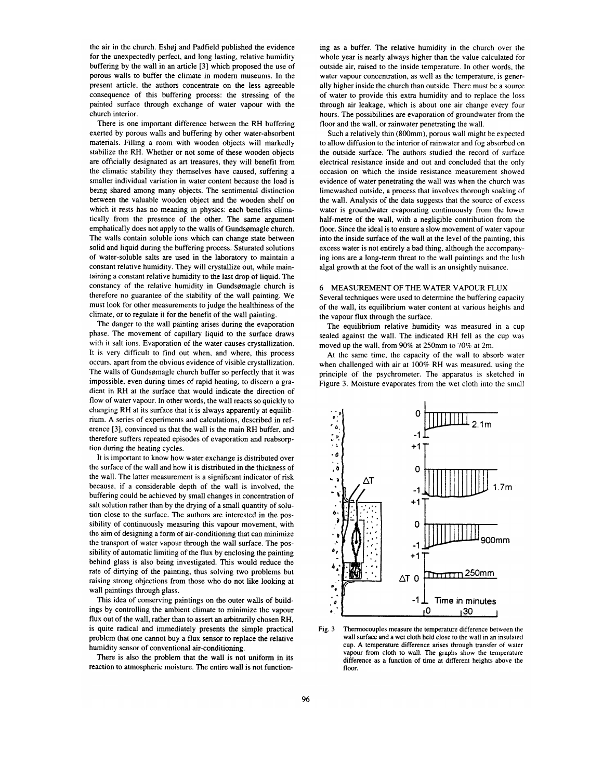the air in the church. Eshøj and Padfield published the evidence for the unexpectedly perfect, and long lasting, relative humidity buffering by the wall in an article [3] which proposed the use of porous walls to buffer the climate in modern museums. In the present article, the authors concentrate on the less agreeable consequence of this buffering process: the stressing of the painted surface through exchange of water vapour with the church interior.

There is one important difference between the RH buffering exerted by porous walls and buffering by other water-absorbent materials. Filling a room with wooden objects will markedly stabilize the RH. Whether or not some of these wooden objects are officially designated as art treasures, they will benefit from the climatic stability they themselves have caused, suffering a smaller individual variation in water content because the load is being shared among many objects. The sentimental distinction between the valuable wooden object and the wooden shelf on which it rests has no meaning in physics: each benefits climatically from the presence of the other. The same argument emphatically does not apply to the walls of Gundsømagle church. The walls contain soluble ions which can change state between solid and liquid during the buffering process. Saturated solutions of water-soluble salts are used in the laboratory to maintain a constant relative humidity. They will crystallize out, while maintaining a constant relative humidity to the last drop of liquid. The constancy of the relative humidity in Gundsømagle church is therefore no guarantee of the stability of the wall painting. We must look for other measurements to judge the healthiness of the climate, or to regulate it for the benefit of the wall painting.

The danger to the wall painting arises during the evaporation phase. The movement of capillary liquid to the surface draws with it salt ions. Evaporation of the water causes crystallization. It is very difficult to find out when, and where, this process occurs, apart from the obvious evidence of visible crystallization. The walls of Gundsømagle church buffer so perfectly that it was impossible, even during times of rapid heating, to discern a gradient in RH at the surface that would indicate the direction of flow of water vapour. In other words, the wall reacts so quickly to changing RH at its surface that it is always apparently at equilibrium. A series of experiments and calculations, described in reference [3], convinced us that the wall is the main RH buffer, and therefore suffers repeated episodes of evaporation and reabsorption during the heating cycles.

It is important to know how water exchange is distributed over the surface of the wall and how it is distributed in the thickness of the wall. The latter measurement is a significant indicator of risk because, if a considerable depth of the wall is involved, the buffering could be achieved by small changes in concentration of salt solution rather than by the drying of a small quantity of solution close to the surface. The authors are interested in the possibility of continuously measuring this vapour movement, with the aim of designing a form of air-conditioning that can minimize the transport of water vapour through the wall surface. The possibility of automatic limiting of the flux by enclosing the painting behind glass is also being investigated. This would reduce the rate of dirtying of the painting, thus solving two problems but raising strong objections from those who do not like looking at wall paintings through glass.

This idea of conserving paintings on the outer walls of buildings by controlling the ambient climate to minimize the vapour flux out of the wall, rather than to assert an arbitrarily chosen RH, is quite radical and immediately presents the simple practical problem that one cannot buy a flux sensor to replace the relative humidity sensor of conventional air-conditioning.

There is also the problem that the wall is not uniform in its reaction to atmospheric moisture. The entire wall is not functioning as a buffer. The relative humidity in the church over the whole year is nearly always higher than the value calculated for outside air, raised to the inside temperature. In other words, the water vapour concentration, as well as the temperature, is generally higher inside the church than outside. There must be a source of water to provide this extra humidity and to replace the loss through air leakage, which is about one air change every four hours. The possibilities are evaporation of groundwater from the floor and the wall, or rainwater penetrating the wall.

Such a relatively thin (800mm), porous wall might be expected to allow diffusion to the interior of rainwater and fog absorbed on the outside surface. The authors studied the record of surface electrical resistance inside and out and concluded that the only occasion on which the inside resistance measurement showed evidence of water penetrating the wall was when the church was limewashed outside, a process that involves thorough soaking of the wall. Analysis of the data suggests that the source of excess water is groundwater evaporating continuously from the lower half-metre of the wall, with a negligible contribution from the floor. Since the ideal is to ensure a slow movement of water vapour into the inside surface of the wall at the level of the painting, this excess water is not entirely a bad thing, although the accompanying ions are a long-term threat to the wall paintings and the lush algal growth at the foot of the wall is an unsightly nuisance.

#### 6 MEASUREMENT OF THE WATER VAPOUR FLUX

Several techniques were used to determine the buffering capacity of the wall, its equilibrium water content at various heights and the vapour flux through the surface.

The equilibrium relative humidity was measured in a cup sealed against the wall. The indicated RH fell as the cup was moved up the wall, from 90% at 250mm to 70% at 2m.

At the same time, the capacity of the wall to absorb water when challenged with air at 100% RH was measured, using the principle of the psychrometer. The apparatus is sketched in Figure 3. Moisture evaporates from the wet cloth into the small



Fig. 3 Thermocouples measure the temperature difference between the wall surface and a wet cloth held close to the wall in an insulated cup. A temperature difference arises through transfer of water vapour from cloth to wall. The graphs show the temperature difference as a function of time at different heights above the floor.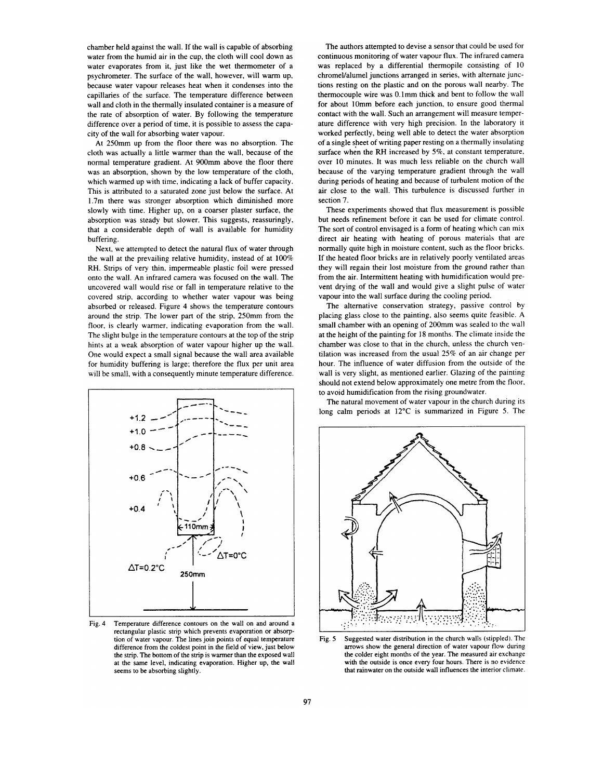chamber held against the wall. If the wall is capable of absorbing water from the humid air in the cup, the cloth will cool down as water evaporates from it, just like the wet thermometer of a psychrometer. The surface of the wall, however, will warm up, because water vapour releases heat when it condenses into the capillaries of the surface. The temperature difference between wall and cloth in the thermally insulated container is a measure of the rate of absorption of water. By following the temperature difference over a period of time, it is possible to assess the capacity of the wall for absorbing water vapour.

At 250mm up from the floor there was no absorption. The cloth was actually a little warmer than the wall, because of the normal temperature gradient. At 900mm above the floor there was an absorption, shown by the low temperature of the cloth, which warmed up with time, indicating a lack of buffer capacity. This is attributed to a saturated zone just below the surface. At 1.7m there was stronger absorption which diminished more slowly with time. Higher up, on a coarser plaster surface, the absorption was steady but slower. This suggests, reassuringly, that a considerable depth of wall is available for humidity buffering.

Next, we attempted to detect the natural flux of water through the wall at the prevailing relative humidity, instead of at 100% RH. Strips of very thin, impermeable plastic foil were pressed onto the wall. An infrared camera was focused on the wall. The uncovered wall would rise or fall in temperature relative to the covered strip, according to whether water vapour was being absorbed or released. Figure 4 shows the temperature contours around the strip. The lower part of the strip, 250mm from the floor, is clearly warmer, indicating evaporation from the wall. The slight bulge in the temperature contours at the top of the strip hints at a weak absorption of water vapour higher up the wall. One would expect a small signal because the wall area available for humidity buffering is large; therefore the flux per unit area will be small, with a consequently minute temperature difference.



Fig. 4 Temperature difference contours on the wall on and around a rectangular plastic strip which prevents evaporation or absorption of water vapour. The lines join points of equal temperature difference from the coldest point in the field of view, just below the strip. The bottom of the strip is warmer than the exposed wall at the same level, indicating evaporation. Higher up, the wall seems to be absorbing slightly.

The authors attempted to devise a sensor that could be used for continuous monitoring of water vapour flux. The infrared camera was replaced by a differential thermopile consisting of 10 chromel/alumel junctions arranged in series, with alternate junctions resting on the plastic and on the porous wall nearby. The thermocouple wire was 0.1mm thick and bent to follow the wall for about 10mm before each junction, to ensure good thermal contact with the wall. Such an arrangement will measure temperature difference with very high precision. In the laboratory it worked perfectly, being well able to detect the water absorption of a single sheet of writing paper resting on a thermally insulating surface when the RH increased by 5%, at constant temperature, over 10 minutes. It was much less reliable on the church wall because of the varying temperature gradient through the wall during periods of heating and because of turbulent motion of the air close to the wall. This turbulence is discussed further in section 7.

These experiments showed that flux measurement is possible but needs refinement before it can be used for climate control. The sort of control envisaged is a form of heating which can mix direct air heating with heating of porous materials that are normally quite high in moisture content, such as the floor bricks. If the heated floor bricks are in relatively poorly ventilated areas they will regain their lost moisture from the ground rather than from the air. Intermittent heating with humidification would prevent drying of the wall and would give a slight pulse of water vapour into the wall surface during the cooling period.

The alternative conservation strategy, passive control by placing glass close to the painting, also seems quite feasible. A small chamber with an opening of 200mm was sealed to the wall at the height of the painting for 18 months. The climate inside the chamber was close to that in the church, unless the church ventilation was increased from the usual  $25\%$  of an air change per hour. The influence of water diffusion from the outside of the wall is very slight, as mentioned earlier. Glazing of the painting should not extend below approximately one metre from the floor. to avoid humidification from the rising groundwater.

The natural movement of water vapour in the church during its long calm periods at 12°C is summarized in Figure 5. The

![](_page_4_Figure_9.jpeg)

Suggested water distribution in the church walls (stippled). The Fig. 5 arrows show the general direction of water vapour flow during the colder eight months of the year. The measured air exchange with the outside is once every four hours. There is no evidence that rainwater on the outside wall influences the interior climate.